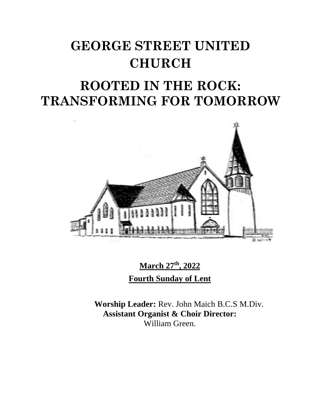# **GEORGE STREET UNITED CHURCH**

# **ROOTED IN THE ROCK: TRANSFORMING FOR TOMORROW**



**March 27 th , 2022 Fourth Sunday of Lent**

**Worship Leader:** Rev. John Maich B.C.S M.Div. **Assistant Organist & Choir Director:**  William Green.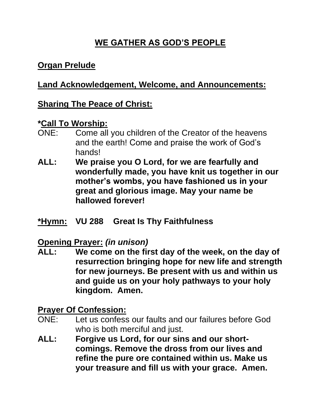# **WE GATHER AS GOD'S PEOPLE**

#### **Organ Prelude**

#### **Land Acknowledgement, Welcome, and Announcements:**

#### **Sharing The Peace of Christ:**

#### **\*Call To Worship:**

- ONE: Come all you children of the Creator of the heavens and the earth! Come and praise the work of God's hands!
- **ALL: We praise you O Lord, for we are fearfully and wonderfully made, you have knit us together in our mother's wombs, you have fashioned us in your great and glorious image. May your name be hallowed forever!**
- **\*Hymn: VU 288 Great Is Thy Faithfulness**

#### **Opening Prayer:** *(in unison)*

**ALL: We come on the first day of the week, on the day of resurrection bringing hope for new life and strength for new journeys. Be present with us and within us and guide us on your holy pathways to your holy kingdom. Amen.**

#### **Prayer Of Confession:**

- ONE: Let us confess our faults and our failures before God who is both merciful and just.
- **ALL: Forgive us Lord, for our sins and our shortcomings. Remove the dross from our lives and refine the pure ore contained within us. Make us your treasure and fill us with your grace. Amen.**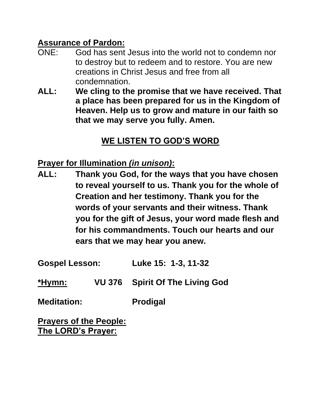#### **Assurance of Pardon:**

- ONE: God has sent Jesus into the world not to condemn nor to destroy but to redeem and to restore. You are new creations in Christ Jesus and free from all condemnation.
- **ALL: We cling to the promise that we have received. That a place has been prepared for us in the Kingdom of Heaven. Help us to grow and mature in our faith so that we may serve you fully. Amen.**

# **WE LISTEN TO GOD'S WORD**

#### **Prayer for Illumination** *(in unison)***:**

**ALL: Thank you God, for the ways that you have chosen to reveal yourself to us. Thank you for the whole of Creation and her testimony. Thank you for the words of your servants and their witness. Thank you for the gift of Jesus, your word made flesh and for his commandments. Touch our hearts and our ears that we may hear you anew.**

**Gospel Lesson: Luke 15: 1-3, 11-32**

**\*Hymn: VU 376 Spirit Of The Living God**

**Meditation: Prodigal**

**Prayers of the People: The LORD's Prayer:**